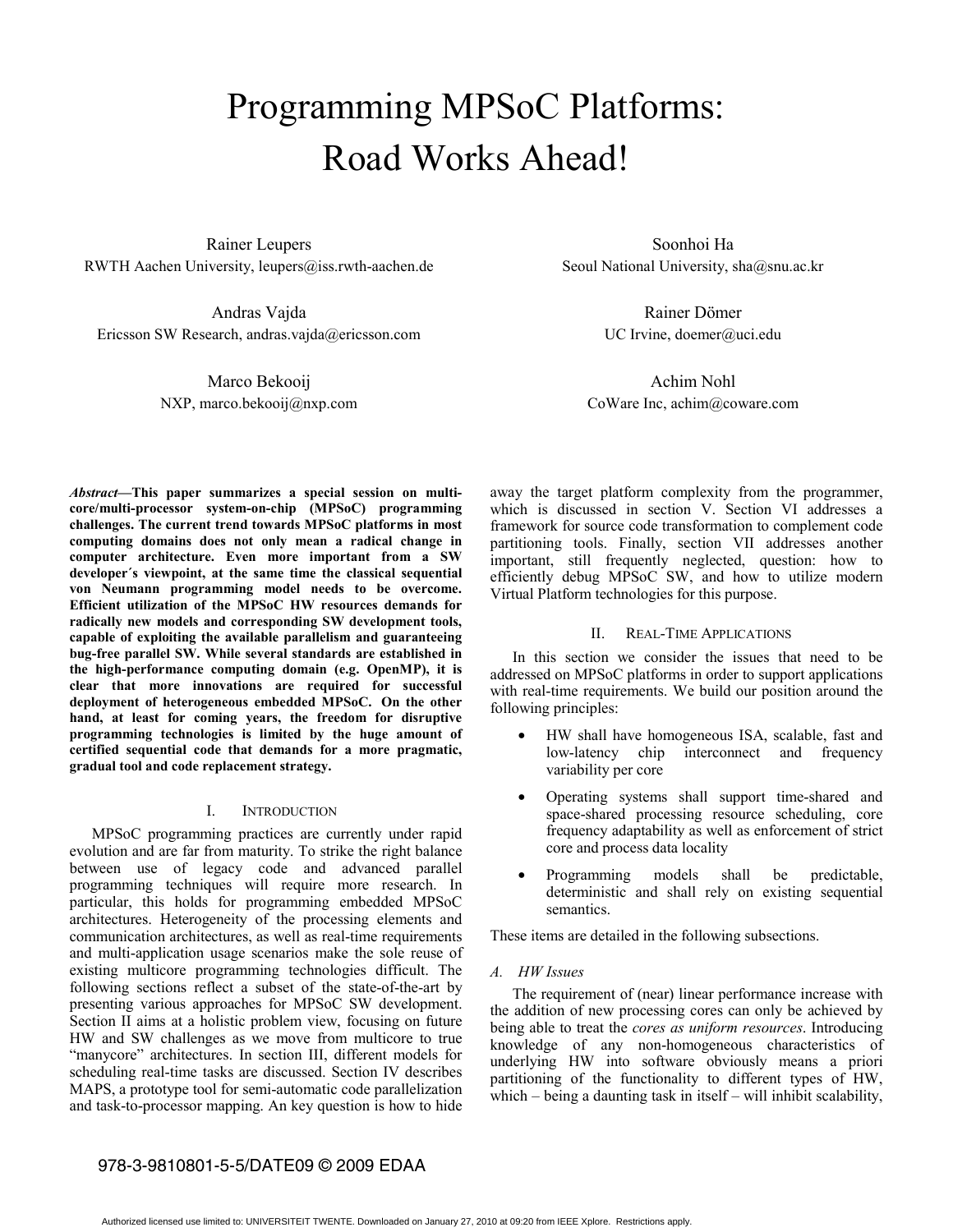# Programming MPSoC Platforms: Road Works Ahead!

Rainer Leupers RWTH Aachen University, leupers@iss.rwth-aachen.de

Andras Vajda Ericsson SW Research, andras.vajda@ericsson.com

> Marco Bekooij NXP, marco.bekooij@nxp.com

Soonhoi Ha Seoul National University, sha@snu.ac.kr

> Rainer Dömer UC Irvine, doemer@uci.edu

Achim Nohl CoWare Inc, achim@coware.com

*Abstract***—This paper summarizes a special session on multicore/multi-processor system-on-chip (MPSoC) programming challenges. The current trend towards MPSoC platforms in most computing domains does not only mean a radical change in computer architecture. Even more important from a SW developer´s viewpoint, at the same time the classical sequential von Neumann programming model needs to be overcome. Efficient utilization of the MPSoC HW resources demands for radically new models and corresponding SW development tools, capable of exploiting the available parallelism and guaranteeing bug-free parallel SW. While several standards are established in the high-performance computing domain (e.g. OpenMP), it is clear that more innovations are required for successful deployment of heterogeneous embedded MPSoC. On the other hand, at least for coming years, the freedom for disruptive programming technologies is limited by the huge amount of certified sequential code that demands for a more pragmatic, gradual tool and code replacement strategy.** 

#### I. INTRODUCTION

MPSoC programming practices are currently under rapid evolution and are far from maturity. To strike the right balance between use of legacy code and advanced parallel programming techniques will require more research. In particular, this holds for programming embedded MPSoC architectures. Heterogeneity of the processing elements and communication architectures, as well as real-time requirements and multi-application usage scenarios make the sole reuse of existing multicore programming technologies difficult. The following sections reflect a subset of the state-of-the-art by presenting various approaches for MPSoC SW development. Section II aims at a holistic problem view, focusing on future HW and SW challenges as we move from multicore to true "manycore" architectures. In section III, different models for scheduling real-time tasks are discussed. Section IV describes MAPS, a prototype tool for semi-automatic code parallelization and task-to-processor mapping. An key question is how to hide

away the target platform complexity from the programmer, which is discussed in section V. Section VI addresses a framework for source code transformation to complement code partitioning tools. Finally, section VII addresses another important, still frequently neglected, question: how to efficiently debug MPSoC SW, and how to utilize modern Virtual Platform technologies for this purpose.

## II. REAL-TIME APPLICATIONS

In this section we consider the issues that need to be addressed on MPSoC platforms in order to support applications with real-time requirements. We build our position around the following principles:

- HW shall have homogeneous ISA, scalable, fast and low-latency chip interconnect and frequency variability per core
- Operating systems shall support time-shared and space-shared processing resource scheduling, core frequency adaptability as well as enforcement of strict core and process data locality
- Programming models shall be predictable, deterministic and shall rely on existing sequential semantics.

These items are detailed in the following subsections.

#### *A. HW Issues*

The requirement of (near) linear performance increase with the addition of new processing cores can only be achieved by being able to treat the *cores as uniform resources*. Introducing knowledge of any non-homogeneous characteristics of underlying HW into software obviously means a priori partitioning of the functionality to different types of HW, which – being a daunting task in itself – will inhibit scalability,

# 978-3-9810801-5-5/DATE09 © 2009 EDAA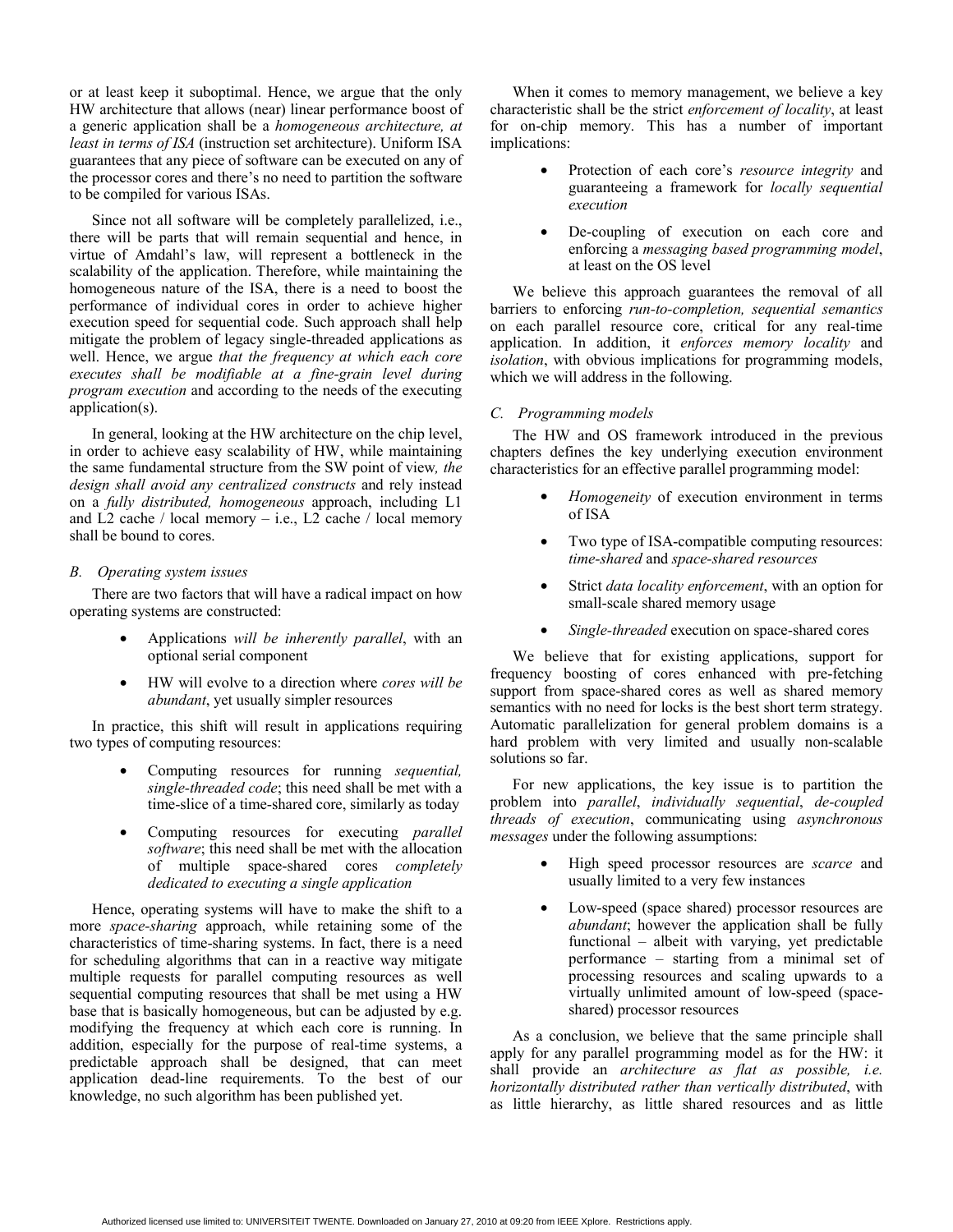or at least keep it suboptimal. Hence, we argue that the only HW architecture that allows (near) linear performance boost of a generic application shall be a *homogeneous architecture, at least in terms of ISA* (instruction set architecture). Uniform ISA guarantees that any piece of software can be executed on any of the processor cores and there's no need to partition the software to be compiled for various ISAs.

Since not all software will be completely parallelized, i.e., there will be parts that will remain sequential and hence, in virtue of Amdahl's law, will represent a bottleneck in the scalability of the application. Therefore, while maintaining the homogeneous nature of the ISA, there is a need to boost the performance of individual cores in order to achieve higher execution speed for sequential code. Such approach shall help mitigate the problem of legacy single-threaded applications as well. Hence, we argue *that the frequency at which each core executes shall be modifiable at a fine-grain level during program execution* and according to the needs of the executing application(s).

In general, looking at the HW architecture on the chip level, in order to achieve easy scalability of HW, while maintaining the same fundamental structure from the SW point of view*, the design shall avoid any centralized constructs* and rely instead on a *fully distributed, homogeneous* approach, including L1 and L2 cache / local memory – i.e., L2 cache / local memory shall be bound to cores.

#### *B. Operating system issues*

There are two factors that will have a radical impact on how operating systems are constructed:

- Applications *will be inherently parallel*, with an optional serial component
- HW will evolve to a direction where *cores will be abundant*, yet usually simpler resources

In practice, this shift will result in applications requiring two types of computing resources:

- Computing resources for running *sequential, single-threaded code*; this need shall be met with a time-slice of a time-shared core, similarly as today
- Computing resources for executing *parallel software*; this need shall be met with the allocation of multiple space-shared cores *completely dedicated to executing a single application*

Hence, operating systems will have to make the shift to a more *space-sharing* approach, while retaining some of the characteristics of time-sharing systems. In fact, there is a need for scheduling algorithms that can in a reactive way mitigate multiple requests for parallel computing resources as well sequential computing resources that shall be met using a HW base that is basically homogeneous, but can be adjusted by e.g. modifying the frequency at which each core is running. In addition, especially for the purpose of real-time systems, a predictable approach shall be designed, that can meet application dead-line requirements. To the best of our knowledge, no such algorithm has been published yet.

When it comes to memory management, we believe a key characteristic shall be the strict *enforcement of locality*, at least for on-chip memory. This has a number of important implications:

- Protection of each core's *resource integrity* and guaranteeing a framework for *locally sequential execution*
- De-coupling of execution on each core and enforcing a *messaging based programming model*, at least on the OS level

We believe this approach guarantees the removal of all barriers to enforcing *run-to-completion, sequential semantics* on each parallel resource core, critical for any real-time application. In addition, it *enforces memory locality* and *isolation*, with obvious implications for programming models, which we will address in the following.

#### *C. Programming models*

The HW and OS framework introduced in the previous chapters defines the key underlying execution environment characteristics for an effective parallel programming model:

- *Homogeneity* of execution environment in terms of ISA
- Two type of ISA-compatible computing resources: *time-shared* and *space-shared resources*
- Strict *data locality enforcement*, with an option for small-scale shared memory usage
- *Single-threaded* execution on space-shared cores

We believe that for existing applications, support for frequency boosting of cores enhanced with pre-fetching support from space-shared cores as well as shared memory semantics with no need for locks is the best short term strategy. Automatic parallelization for general problem domains is a hard problem with very limited and usually non-scalable solutions so far.

For new applications, the key issue is to partition the problem into *parallel*, *individually sequential*, *de-coupled threads of execution*, communicating using *asynchronous messages* under the following assumptions:

- High speed processor resources are *scarce* and usually limited to a very few instances
- Low-speed (space shared) processor resources are *abundant*; however the application shall be fully functional – albeit with varying, yet predictable performance – starting from a minimal set of processing resources and scaling upwards to a virtually unlimited amount of low-speed (spaceshared) processor resources

As a conclusion, we believe that the same principle shall apply for any parallel programming model as for the HW: it shall provide an *architecture as flat as possible, i.e. horizontally distributed rather than vertically distributed*, with as little hierarchy, as little shared resources and as little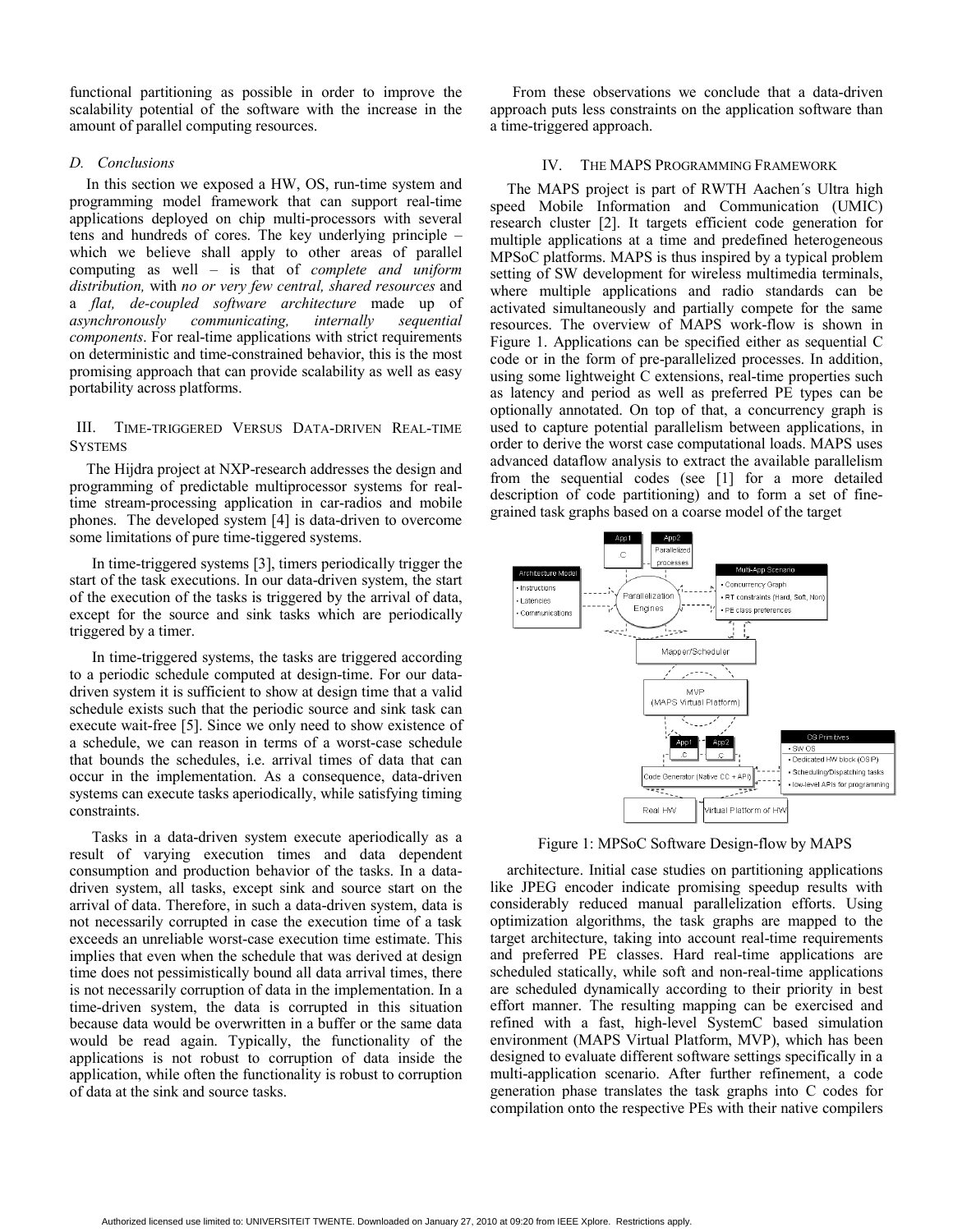functional partitioning as possible in order to improve the scalability potential of the software with the increase in the amount of parallel computing resources.

#### *D. Conclusions*

In this section we exposed a HW, OS, run-time system and programming model framework that can support real-time applications deployed on chip multi-processors with several tens and hundreds of cores. The key underlying principle – which we believe shall apply to other areas of parallel computing as well – is that of *complete and uniform distribution,* with *no or very few central, shared resources* and a *flat, de-coupled software architecture* made up of *asynchronously communicating, internally sequential components*. For real-time applications with strict requirements on deterministic and time-constrained behavior, this is the most promising approach that can provide scalability as well as easy portability across platforms.

## III. TIME-TRIGGERED VERSUS DATA-DRIVEN REAL-TIME SYSTEMS

The Hijdra project at NXP-research addresses the design and programming of predictable multiprocessor systems for realtime stream-processing application in car-radios and mobile phones. The developed system [4] is data-driven to overcome some limitations of pure time-tiggered systems.

In time-triggered systems [3], timers periodically trigger the start of the task executions. In our data-driven system, the start of the execution of the tasks is triggered by the arrival of data, except for the source and sink tasks which are periodically triggered by a timer.

In time-triggered systems, the tasks are triggered according to a periodic schedule computed at design-time. For our datadriven system it is sufficient to show at design time that a valid schedule exists such that the periodic source and sink task can execute wait-free [5]. Since we only need to show existence of a schedule, we can reason in terms of a worst-case schedule that bounds the schedules, i.e. arrival times of data that can occur in the implementation. As a consequence, data-driven systems can execute tasks aperiodically, while satisfying timing constraints.

Tasks in a data-driven system execute aperiodically as a result of varying execution times and data dependent consumption and production behavior of the tasks. In a datadriven system, all tasks, except sink and source start on the arrival of data. Therefore, in such a data-driven system, data is not necessarily corrupted in case the execution time of a task exceeds an unreliable worst-case execution time estimate. This implies that even when the schedule that was derived at design time does not pessimistically bound all data arrival times, there is not necessarily corruption of data in the implementation. In a time-driven system, the data is corrupted in this situation because data would be overwritten in a buffer or the same data would be read again. Typically, the functionality of the applications is not robust to corruption of data inside the application, while often the functionality is robust to corruption of data at the sink and source tasks.

From these observations we conclude that a data-driven approach puts less constraints on the application software than a time-triggered approach.

#### IV. THE MAPS PROGRAMMING FRAMEWORK

The MAPS project is part of RWTH Aachen´s Ultra high speed Mobile Information and Communication (UMIC) research cluster [2]. It targets efficient code generation for multiple applications at a time and predefined heterogeneous MPSoC platforms. MAPS is thus inspired by a typical problem setting of SW development for wireless multimedia terminals, where multiple applications and radio standards can be activated simultaneously and partially compete for the same resources. The overview of MAPS work-flow is shown in Figure 1. Applications can be specified either as sequential C code or in the form of pre-parallelized processes. In addition, using some lightweight C extensions, real-time properties such as latency and period as well as preferred PE types can be optionally annotated. On top of that, a concurrency graph is used to capture potential parallelism between applications, in order to derive the worst case computational loads. MAPS uses advanced dataflow analysis to extract the available parallelism from the sequential codes (see [1] for a more detailed description of code partitioning) and to form a set of finegrained task graphs based on a coarse model of the target



Figure 1: MPSoC Software Design-flow by MAPS

architecture. Initial case studies on partitioning applications like JPEG encoder indicate promising speedup results with considerably reduced manual parallelization efforts. Using optimization algorithms, the task graphs are mapped to the target architecture, taking into account real-time requirements and preferred PE classes. Hard real-time applications are scheduled statically, while soft and non-real-time applications are scheduled dynamically according to their priority in best effort manner. The resulting mapping can be exercised and refined with a fast, high-level SystemC based simulation environment (MAPS Virtual Platform, MVP), which has been designed to evaluate different software settings specifically in a multi-application scenario. After further refinement, a code generation phase translates the task graphs into C codes for compilation onto the respective PEs with their native compilers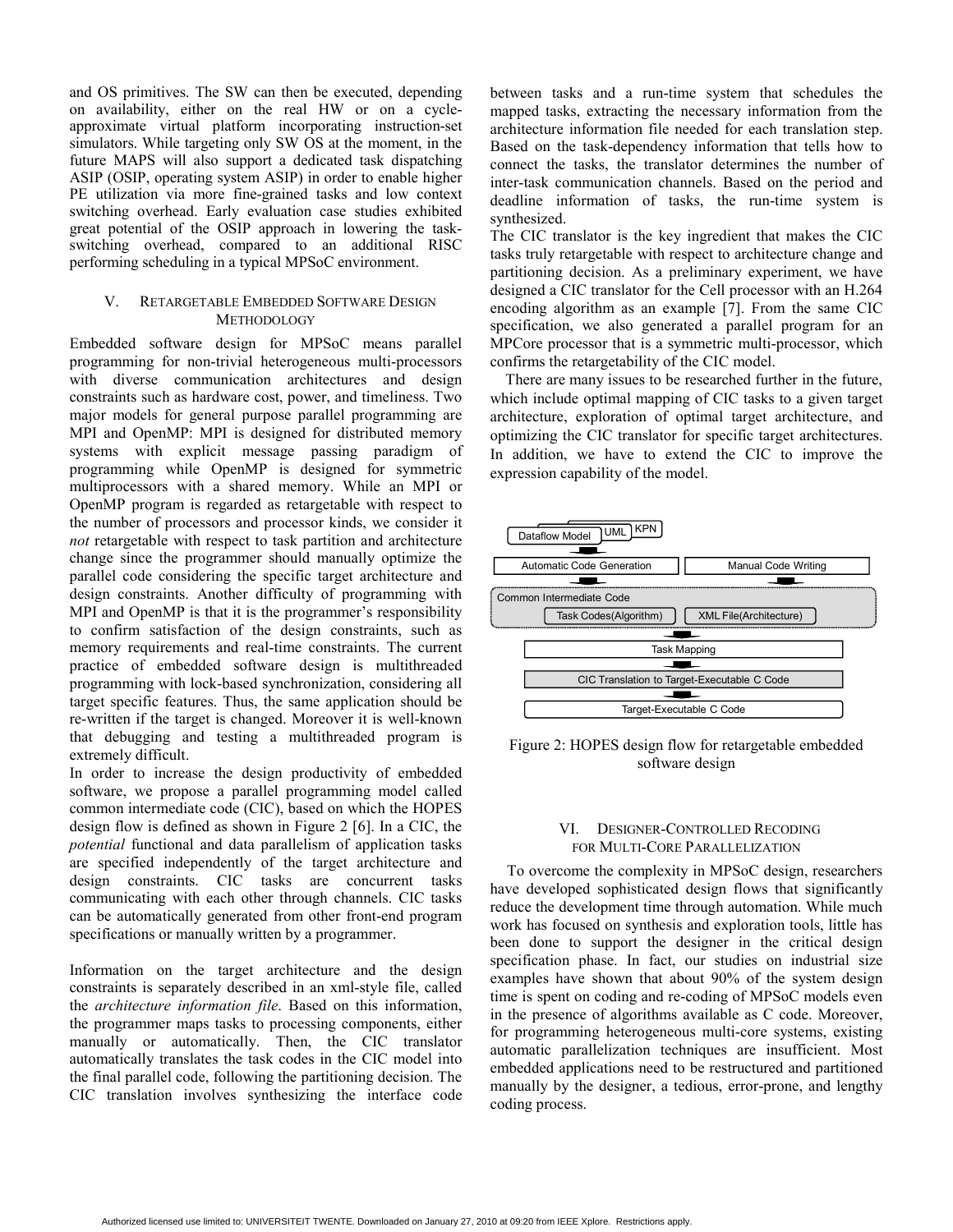and OS primitives. The SW can then be executed, depending on availability, either on the real HW or on a cycleapproximate virtual platform incorporating instruction-set simulators. While targeting only SW OS at the moment, in the future MAPS will also support a dedicated task dispatching ASIP (OSIP, operating system ASIP) in order to enable higher PE utilization via more fine-grained tasks and low context switching overhead. Early evaluation case studies exhibited great potential of the OSIP approach in lowering the taskswitching overhead, compared to an additional RISC performing scheduling in a typical MPSoC environment.

## V. RETARGETABLE EMBEDDED SOFTWARE DESIGN **METHODOLOGY**

Embedded software design for MPSoC means parallel programming for non-trivial heterogeneous multi-processors with diverse communication architectures and design constraints such as hardware cost, power, and timeliness. Two major models for general purpose parallel programming are MPI and OpenMP: MPI is designed for distributed memory systems with explicit message passing paradigm of programming while OpenMP is designed for symmetric multiprocessors with a shared memory. While an MPI or OpenMP program is regarded as retargetable with respect to the number of processors and processor kinds, we consider it *not* retargetable with respect to task partition and architecture change since the programmer should manually optimize the parallel code considering the specific target architecture and design constraints. Another difficulty of programming with MPI and OpenMP is that it is the programmer's responsibility to confirm satisfaction of the design constraints, such as memory requirements and real-time constraints. The current practice of embedded software design is multithreaded programming with lock-based synchronization, considering all target specific features. Thus, the same application should be re-written if the target is changed. Moreover it is well-known that debugging and testing a multithreaded program is extremely difficult.

In order to increase the design productivity of embedded software, we propose a parallel programming model called common intermediate code (CIC), based on which the HOPES design flow is defined as shown in Figure 2 [6]. In a CIC, the *potential* functional and data parallelism of application tasks are specified independently of the target architecture and design constraints. CIC tasks are concurrent tasks communicating with each other through channels. CIC tasks can be automatically generated from other front-end program specifications or manually written by a programmer.

Information on the target architecture and the design constraints is separately described in an xml-style file, called the *architecture information file*. Based on this information, the programmer maps tasks to processing components, either manually or automatically. Then, the CIC translator automatically translates the task codes in the CIC model into the final parallel code, following the partitioning decision. The CIC translation involves synthesizing the interface code

between tasks and a run-time system that schedules the mapped tasks, extracting the necessary information from the architecture information file needed for each translation step. Based on the task-dependency information that tells how to connect the tasks, the translator determines the number of inter-task communication channels. Based on the period and deadline information of tasks, the run-time system is synthesized.

The CIC translator is the key ingredient that makes the CIC tasks truly retargetable with respect to architecture change and partitioning decision. As a preliminary experiment, we have designed a CIC translator for the Cell processor with an H.264 encoding algorithm as an example [7]. From the same CIC specification, we also generated a parallel program for an MPCore processor that is a symmetric multi-processor, which confirms the retargetability of the CIC model.

There are many issues to be researched further in the future, which include optimal mapping of CIC tasks to a given target architecture, exploration of optimal target architecture, and optimizing the CIC translator for specific target architectures. In addition, we have to extend the CIC to improve the expression capability of the model.



Figure 2: HOPES design flow for retargetable embedded software design

## VI. DESIGNER-CONTROLLED RECODING FOR MULTI-CORE PARALLELIZATION

To overcome the complexity in MPSoC design, researchers have developed sophisticated design flows that significantly reduce the development time through automation. While much work has focused on synthesis and exploration tools, little has been done to support the designer in the critical design specification phase. In fact, our studies on industrial size examples have shown that about 90% of the system design time is spent on coding and re-coding of MPSoC models even in the presence of algorithms available as C code. Moreover, for programming heterogeneous multi-core systems, existing automatic parallelization techniques are insufficient. Most embedded applications need to be restructured and partitioned manually by the designer, a tedious, error-prone, and lengthy coding process.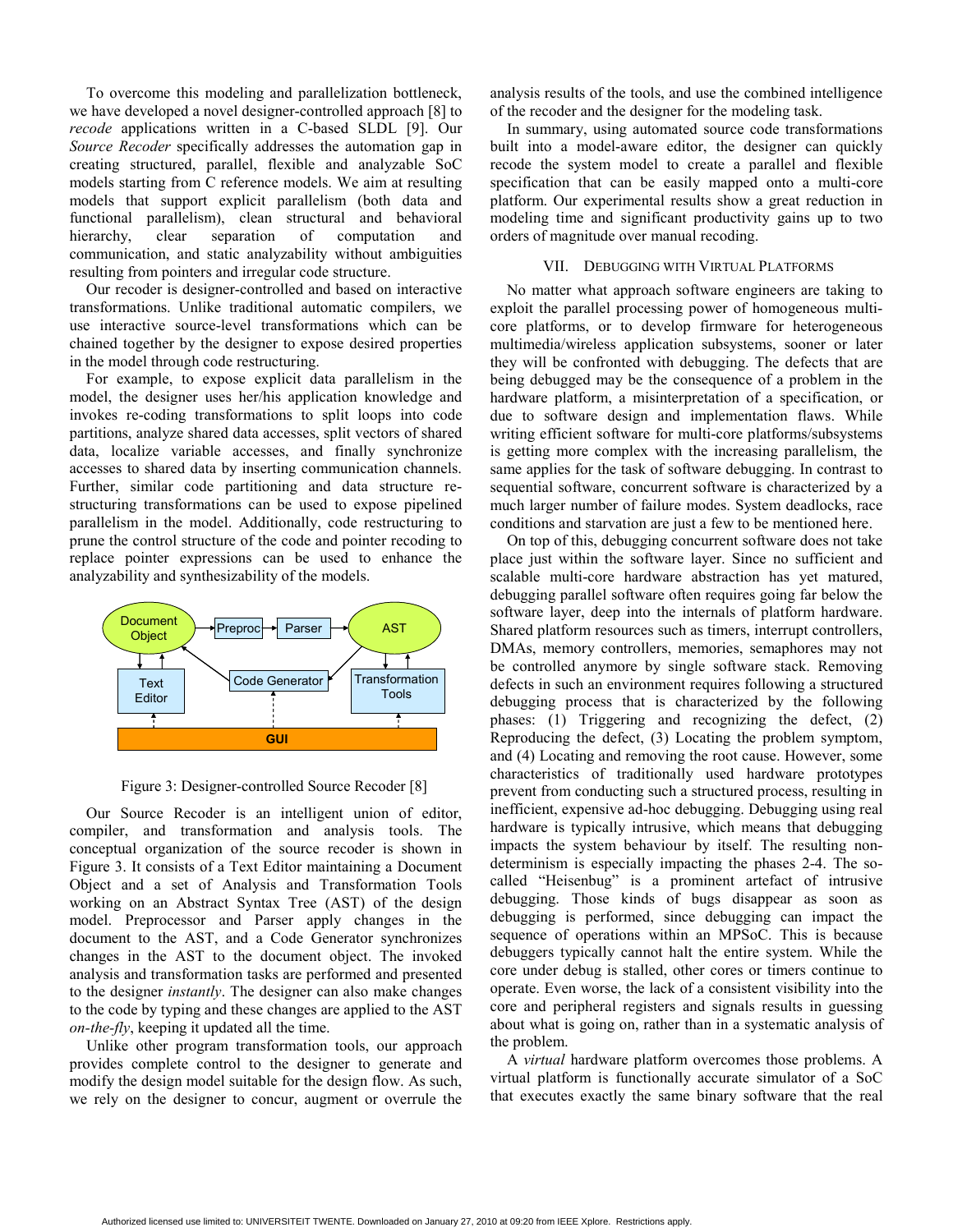To overcome this modeling and parallelization bottleneck, we have developed a novel designer-controlled approach [8] to *recode* applications written in a C-based SLDL [9]. Our *Source Recoder* specifically addresses the automation gap in creating structured, parallel, flexible and analyzable SoC models starting from C reference models. We aim at resulting models that support explicit parallelism (both data and functional parallelism), clean structural and behavioral hierarchy, clear separation of computation and communication, and static analyzability without ambiguities resulting from pointers and irregular code structure.

Our recoder is designer-controlled and based on interactive transformations. Unlike traditional automatic compilers, we use interactive source-level transformations which can be chained together by the designer to expose desired properties in the model through code restructuring.

For example, to expose explicit data parallelism in the model, the designer uses her/his application knowledge and invokes re-coding transformations to split loops into code partitions, analyze shared data accesses, split vectors of shared data, localize variable accesses, and finally synchronize accesses to shared data by inserting communication channels. Further, similar code partitioning and data structure restructuring transformations can be used to expose pipelined parallelism in the model. Additionally, code restructuring to prune the control structure of the code and pointer recoding to replace pointer expressions can be used to enhance the analyzability and synthesizability of the models.





Our Source Recoder is an intelligent union of editor, compiler, and transformation and analysis tools. The conceptual organization of the source recoder is shown in Figure 3. It consists of a Text Editor maintaining a Document Object and a set of Analysis and Transformation Tools working on an Abstract Syntax Tree (AST) of the design model. Preprocessor and Parser apply changes in the document to the AST, and a Code Generator synchronizes changes in the AST to the document object. The invoked analysis and transformation tasks are performed and presented to the designer *instantly*. The designer can also make changes to the code by typing and these changes are applied to the AST *on-the-fly*, keeping it updated all the time.

Unlike other program transformation tools, our approach provides complete control to the designer to generate and modify the design model suitable for the design flow. As such, we rely on the designer to concur, augment or overrule the analysis results of the tools, and use the combined intelligence of the recoder and the designer for the modeling task.

In summary, using automated source code transformations built into a model-aware editor, the designer can quickly recode the system model to create a parallel and flexible specification that can be easily mapped onto a multi-core platform. Our experimental results show a great reduction in modeling time and significant productivity gains up to two orders of magnitude over manual recoding.

### VII. DEBUGGING WITH VIRTUAL PLATFORMS

No matter what approach software engineers are taking to exploit the parallel processing power of homogeneous multicore platforms, or to develop firmware for heterogeneous multimedia/wireless application subsystems, sooner or later they will be confronted with debugging. The defects that are being debugged may be the consequence of a problem in the hardware platform, a misinterpretation of a specification, or due to software design and implementation flaws. While writing efficient software for multi-core platforms/subsystems is getting more complex with the increasing parallelism, the same applies for the task of software debugging. In contrast to sequential software, concurrent software is characterized by a much larger number of failure modes. System deadlocks, race conditions and starvation are just a few to be mentioned here.

On top of this, debugging concurrent software does not take place just within the software layer. Since no sufficient and scalable multi-core hardware abstraction has yet matured, debugging parallel software often requires going far below the software layer, deep into the internals of platform hardware. Shared platform resources such as timers, interrupt controllers, DMAs, memory controllers, memories, semaphores may not be controlled anymore by single software stack. Removing defects in such an environment requires following a structured debugging process that is characterized by the following phases: (1) Triggering and recognizing the defect, (2) Reproducing the defect, (3) Locating the problem symptom, and (4) Locating and removing the root cause. However, some characteristics of traditionally used hardware prototypes prevent from conducting such a structured process, resulting in inefficient, expensive ad-hoc debugging. Debugging using real hardware is typically intrusive, which means that debugging impacts the system behaviour by itself. The resulting nondeterminism is especially impacting the phases 2-4. The socalled "Heisenbug" is a prominent artefact of intrusive debugging. Those kinds of bugs disappear as soon as debugging is performed, since debugging can impact the sequence of operations within an MPSoC. This is because debuggers typically cannot halt the entire system. While the core under debug is stalled, other cores or timers continue to operate. Even worse, the lack of a consistent visibility into the core and peripheral registers and signals results in guessing about what is going on, rather than in a systematic analysis of the problem.

A *virtual* hardware platform overcomes those problems. A virtual platform is functionally accurate simulator of a SoC that executes exactly the same binary software that the real